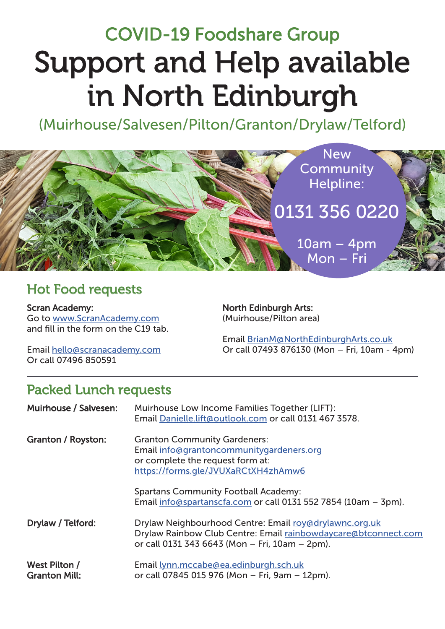# Support and Help available in North Edinburgh COVID-19 Foodshare Group

(Muirhouse/Salvesen/Pilton/Granton/Drylaw/Telford)



## Hot Food requests

Scran Academy: Go to www.ScranAcademy.com and fill in the form on the C19 tab. North Edinburgh Arts: (Muirhouse/Pilton area)

Email hello@scranacademy.com Or call 07496 850591

Email BrianM@NorthEdinburghArts.co.uk Or call 07493 876130 (Mon – Fri, 10am - 4pm)

## Packed Lunch requests

| Muirhouse / Salvesen:                 | Muirhouse Low Income Families Together (LIFT):<br>Email Danielle.lift@outlook.com or call 0131 467 3578.                                                                   |
|---------------------------------------|----------------------------------------------------------------------------------------------------------------------------------------------------------------------------|
| Granton / Royston:                    | <b>Granton Community Gardeners:</b><br>Email info@grantoncommunitygardeners.org<br>or complete the request form at:<br>https://forms.gle/JVUXaRCtXH4zhAmw6                 |
|                                       | <b>Spartans Community Football Academy:</b><br>Email info@spartanscfa.com or call 0131 552 7854 (10am - 3pm).                                                              |
| Drylaw / Telford:                     | Drylaw Neighbourhood Centre: Email roy@drylawnc.org.uk<br>Drylaw Rainbow Club Centre: Email rainbowdaycare@btconnect.com<br>or call 0131 343 6643 (Mon - Fri, 10am - 2pm). |
| West Pilton /<br><b>Granton Mill:</b> | Email lynn.mccabe@ea.edinburgh.sch.uk<br>or call 07845 015 976 (Mon - Fri, 9am - 12pm).                                                                                    |